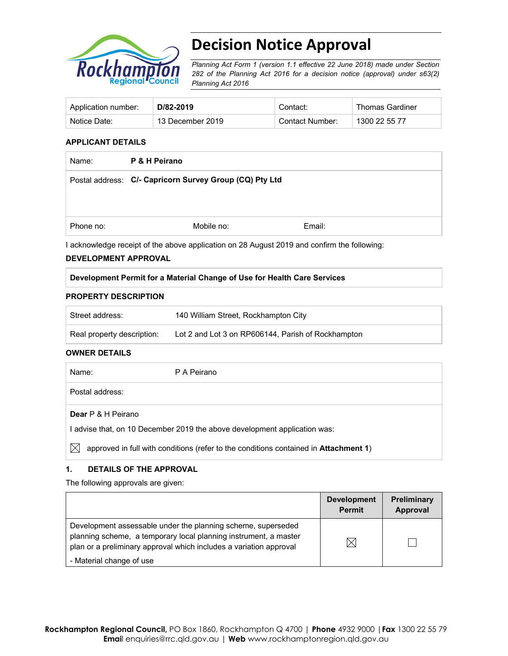

# **Decision Notice Approval**

*Planning Act Form 1 (version 1.1 effective 22 June 2018) made under Section 282 of the Planning Act 2016 for a decision notice (approval) under s63(2) Planning Act 2016*

| Application number: | D/82-2019        | Contact:        | Thomas Gardiner |
|---------------------|------------------|-----------------|-----------------|
| Notice Date:        | 13 December 2019 | Contact Number: | 1300 22 55 77   |

#### **APPLICANT DETAILS**

| P & H Peirano |                                                         |
|---------------|---------------------------------------------------------|
|               |                                                         |
|               |                                                         |
|               |                                                         |
| Mobile no:    | Email:                                                  |
|               | Postal address: C/- Capricorn Survey Group (CQ) Pty Ltd |

I acknowledge receipt of the above application on 28 August 2019 and confirm the following:

#### **DEVELOPMENT APPROVAL**

#### **Development Permit for a Material Change of Use for Health Care Services**

#### **PROPERTY DESCRIPTION**

| Street address:            | 140 William Street, Rockhampton City               |
|----------------------------|----------------------------------------------------|
| Real property description: | Lot 2 and Lot 3 on RP606144, Parish of Rockhampton |

### **OWNER DETAILS**

| Name:                                                                     | P A Peirano                                                                                  |  |
|---------------------------------------------------------------------------|----------------------------------------------------------------------------------------------|--|
| Postal address:                                                           |                                                                                              |  |
| <b>Dear</b> P & H Peirano                                                 |                                                                                              |  |
| I advise that, on 10 December 2019 the above development application was: |                                                                                              |  |
| $\mathbb{X}$                                                              | approved in full with conditions (refer to the conditions contained in <b>Attachment 1</b> ) |  |

# **1. DETAILS OF THE APPROVAL**

The following approvals are given:

|                                                                                                                                                                                                        | <b>Development</b><br><b>Permit</b> | Preliminary<br>Approval |
|--------------------------------------------------------------------------------------------------------------------------------------------------------------------------------------------------------|-------------------------------------|-------------------------|
| Development assessable under the planning scheme, superseded<br>planning scheme, a temporary local planning instrument, a master<br>plan or a preliminary approval which includes a variation approval | M                                   |                         |
| - Material change of use                                                                                                                                                                               |                                     |                         |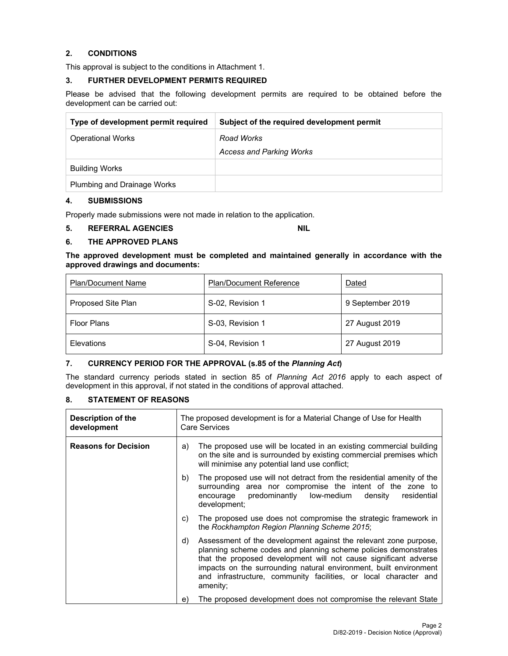# **2. CONDITIONS**

This approval is subject to the conditions in Attachment 1.

#### **3. FURTHER DEVELOPMENT PERMITS REQUIRED**

Please be advised that the following development permits are required to be obtained before the development can be carried out:

| Type of development permit required | Subject of the required development permit |
|-------------------------------------|--------------------------------------------|
| <b>Operational Works</b>            | Road Works                                 |
|                                     | <b>Access and Parking Works</b>            |
| <b>Building Works</b>               |                                            |
| Plumbing and Drainage Works         |                                            |

#### **4. SUBMISSIONS**

Properly made submissions were not made in relation to the application.

### **5. REFERRAL AGENCIES NIL**

# **6. THE APPROVED PLANS**

**The approved development must be completed and maintained generally in accordance with the approved drawings and documents:** 

| <b>Plan/Document Name</b> | <b>Plan/Document Reference</b> | Dated            |
|---------------------------|--------------------------------|------------------|
| Proposed Site Plan        | S-02, Revision 1               | 9 September 2019 |
| <b>Floor Plans</b>        | S-03, Revision 1               | 27 August 2019   |
| Elevations                | S-04, Revision 1               | 27 August 2019   |

### **7. CURRENCY PERIOD FOR THE APPROVAL (s.85 of the** *Planning Act***)**

The standard currency periods stated in section 85 of *Planning Act 2016* apply to each aspect of development in this approval, if not stated in the conditions of approval attached.

# **8. STATEMENT OF REASONS**

| Description of the<br>development | The proposed development is for a Material Change of Use for Health<br>Care Services                                                                                                                                                                                                                                                                         |                        |
|-----------------------------------|--------------------------------------------------------------------------------------------------------------------------------------------------------------------------------------------------------------------------------------------------------------------------------------------------------------------------------------------------------------|------------------------|
| <b>Reasons for Decision</b>       | The proposed use will be located in an existing commercial building<br>on the site and is surrounded by existing commercial premises which<br>will minimise any potential land use conflict;                                                                                                                                                                 |                        |
|                                   | The proposed use will not detract from the residential amenity of the<br>surrounding area nor compromise the intent of the zone to<br>predominantly low-medium<br>encourage<br>development;                                                                                                                                                                  | residential<br>density |
|                                   | The proposed use does not compromise the strategic framework in<br>the Rockhampton Region Planning Scheme 2015;                                                                                                                                                                                                                                              |                        |
|                                   | Assessment of the development against the relevant zone purpose,<br>planning scheme codes and planning scheme policies demonstrates<br>that the proposed development will not cause significant adverse<br>impacts on the surrounding natural environment, built environment<br>and infrastructure, community facilities, or local character and<br>amenity: |                        |
|                                   | The proposed development does not compromise the relevant State                                                                                                                                                                                                                                                                                              |                        |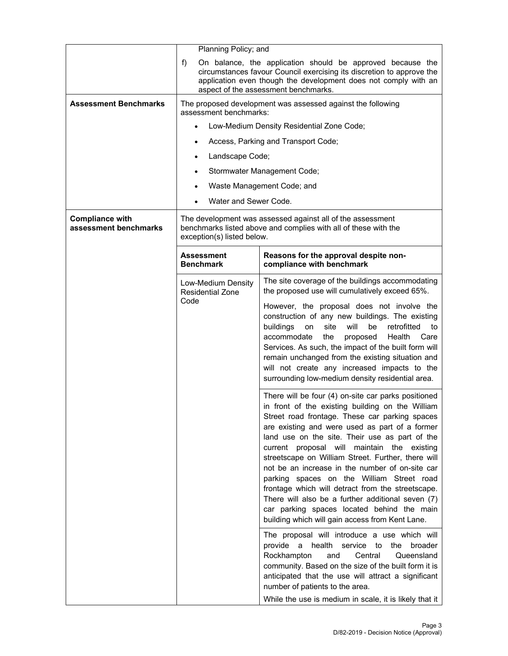|                                                 | Planning Policy; and                                                                                                                                                                                                                                 |                                                                                                                                                                                                                                                                                                                                                                                                                                                                                                                                                                                                                                                                                                                                                                                                                                                                                                                                                                                             |
|-------------------------------------------------|------------------------------------------------------------------------------------------------------------------------------------------------------------------------------------------------------------------------------------------------------|---------------------------------------------------------------------------------------------------------------------------------------------------------------------------------------------------------------------------------------------------------------------------------------------------------------------------------------------------------------------------------------------------------------------------------------------------------------------------------------------------------------------------------------------------------------------------------------------------------------------------------------------------------------------------------------------------------------------------------------------------------------------------------------------------------------------------------------------------------------------------------------------------------------------------------------------------------------------------------------------|
|                                                 | f)<br>On balance, the application should be approved because the<br>circumstances favour Council exercising its discretion to approve the<br>application even though the development does not comply with an<br>aspect of the assessment benchmarks. |                                                                                                                                                                                                                                                                                                                                                                                                                                                                                                                                                                                                                                                                                                                                                                                                                                                                                                                                                                                             |
| <b>Assessment Benchmarks</b>                    | assessment benchmarks:                                                                                                                                                                                                                               | The proposed development was assessed against the following                                                                                                                                                                                                                                                                                                                                                                                                                                                                                                                                                                                                                                                                                                                                                                                                                                                                                                                                 |
|                                                 | $\bullet$                                                                                                                                                                                                                                            | Low-Medium Density Residential Zone Code;                                                                                                                                                                                                                                                                                                                                                                                                                                                                                                                                                                                                                                                                                                                                                                                                                                                                                                                                                   |
|                                                 |                                                                                                                                                                                                                                                      | Access, Parking and Transport Code;                                                                                                                                                                                                                                                                                                                                                                                                                                                                                                                                                                                                                                                                                                                                                                                                                                                                                                                                                         |
|                                                 | Landscape Code;                                                                                                                                                                                                                                      |                                                                                                                                                                                                                                                                                                                                                                                                                                                                                                                                                                                                                                                                                                                                                                                                                                                                                                                                                                                             |
|                                                 |                                                                                                                                                                                                                                                      | Stormwater Management Code;                                                                                                                                                                                                                                                                                                                                                                                                                                                                                                                                                                                                                                                                                                                                                                                                                                                                                                                                                                 |
|                                                 |                                                                                                                                                                                                                                                      | Waste Management Code; and                                                                                                                                                                                                                                                                                                                                                                                                                                                                                                                                                                                                                                                                                                                                                                                                                                                                                                                                                                  |
|                                                 | Water and Sewer Code.                                                                                                                                                                                                                                |                                                                                                                                                                                                                                                                                                                                                                                                                                                                                                                                                                                                                                                                                                                                                                                                                                                                                                                                                                                             |
| <b>Compliance with</b><br>assessment benchmarks | exception(s) listed below.                                                                                                                                                                                                                           | The development was assessed against all of the assessment<br>benchmarks listed above and complies with all of these with the                                                                                                                                                                                                                                                                                                                                                                                                                                                                                                                                                                                                                                                                                                                                                                                                                                                               |
|                                                 | Assessment<br><b>Benchmark</b>                                                                                                                                                                                                                       | Reasons for the approval despite non-<br>compliance with benchmark                                                                                                                                                                                                                                                                                                                                                                                                                                                                                                                                                                                                                                                                                                                                                                                                                                                                                                                          |
|                                                 | Low-Medium Density<br><b>Residential Zone</b>                                                                                                                                                                                                        | The site coverage of the buildings accommodating<br>the proposed use will cumulatively exceed 65%.                                                                                                                                                                                                                                                                                                                                                                                                                                                                                                                                                                                                                                                                                                                                                                                                                                                                                          |
|                                                 | Code                                                                                                                                                                                                                                                 | However, the proposal does not involve the<br>construction of any new buildings. The existing<br>buildings<br>site<br>will<br>be<br>retrofitted<br>to<br>on<br>accommodate<br>the<br>Health<br>Care<br>proposed<br>Services. As such, the impact of the built form will<br>remain unchanged from the existing situation and<br>will not create any increased impacts to the<br>surrounding low-medium density residential area.                                                                                                                                                                                                                                                                                                                                                                                                                                                                                                                                                             |
|                                                 |                                                                                                                                                                                                                                                      | There will be four (4) on-site car parks positioned<br>in front of the existing building on the William<br>Street road frontage. These car parking spaces<br>are existing and were used as part of a former<br>land use on the site. Their use as part of the<br>current proposal will<br>maintain the existing<br>streetscape on William Street. Further, there will<br>not be an increase in the number of on-site car<br>parking spaces on the William Street road<br>frontage which will detract from the streetscape.<br>There will also be a further additional seven (7)<br>car parking spaces located behind the main<br>building which will gain access from Kent Lane.<br>The proposal will introduce a use which will<br>provide<br>a<br>health<br>service to<br>the<br>broader<br>Rockhampton<br>Central<br>Queensland<br>and<br>community. Based on the size of the built form it is<br>anticipated that the use will attract a significant<br>number of patients to the area. |
|                                                 |                                                                                                                                                                                                                                                      | While the use is medium in scale, it is likely that it                                                                                                                                                                                                                                                                                                                                                                                                                                                                                                                                                                                                                                                                                                                                                                                                                                                                                                                                      |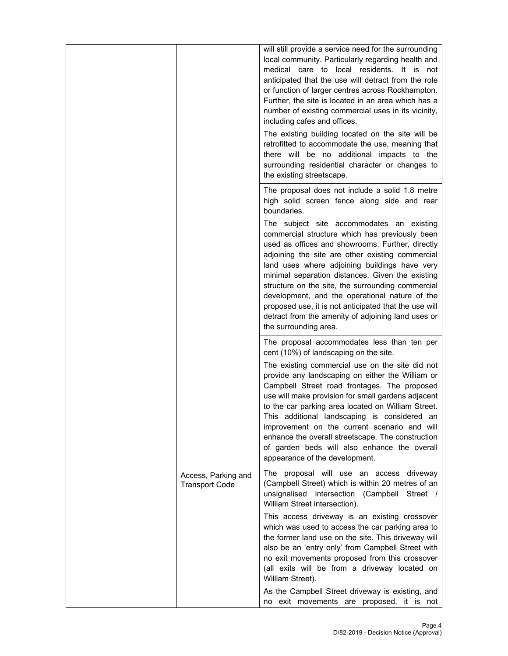|                                              | will still provide a service need for the surrounding<br>local community. Particularly regarding health and<br>medical care to local residents. It is not<br>anticipated that the use will detract from the role<br>or function of larger centres across Rockhampton.<br>Further, the site is located in an area which has a<br>number of existing commercial uses in its vicinity,<br>including cafes and offices.<br>The existing building located on the site will be<br>retrofitted to accommodate the use, meaning that<br>there will be no additional impacts to the<br>surrounding residential character or changes to<br>the existing streetscape. |
|----------------------------------------------|------------------------------------------------------------------------------------------------------------------------------------------------------------------------------------------------------------------------------------------------------------------------------------------------------------------------------------------------------------------------------------------------------------------------------------------------------------------------------------------------------------------------------------------------------------------------------------------------------------------------------------------------------------|
|                                              | The proposal does not include a solid 1.8 metre<br>high solid screen fence along side and rear<br>boundaries.                                                                                                                                                                                                                                                                                                                                                                                                                                                                                                                                              |
|                                              | The subject site accommodates an existing<br>commercial structure which has previously been<br>used as offices and showrooms. Further, directly<br>adjoining the site are other existing commercial<br>land uses where adjoining buildings have very<br>minimal separation distances. Given the existing<br>structure on the site, the surrounding commercial<br>development, and the operational nature of the<br>proposed use, it is not anticipated that the use will<br>detract from the amenity of adjoining land uses or<br>the surrounding area.                                                                                                    |
|                                              | The proposal accommodates less than ten per<br>cent (10%) of landscaping on the site.                                                                                                                                                                                                                                                                                                                                                                                                                                                                                                                                                                      |
|                                              | The existing commercial use on the site did not<br>provide any landscaping on either the William or<br>Campbell Street road frontages. The proposed<br>use will make provision for small gardens adjacent<br>to the car parking area located on William Street.<br>This additional landscaping is considered an<br>improvement on the current scenario and will<br>enhance the overall streetscape. The construction<br>of garden beds will also enhance the overall<br>appearance of the development.                                                                                                                                                     |
| Access, Parking and<br><b>Transport Code</b> | The proposal will use an access driveway<br>(Campbell Street) which is within 20 metres of an<br>unsignalised intersection (Campbell Street /<br>William Street intersection).                                                                                                                                                                                                                                                                                                                                                                                                                                                                             |
|                                              | This access driveway is an existing crossover<br>which was used to access the car parking area to<br>the former land use on the site. This driveway will<br>also be an 'entry only' from Campbell Street with<br>no exit movements proposed from this crossover<br>(all exits will be from a driveway located on<br>William Street).                                                                                                                                                                                                                                                                                                                       |
|                                              | As the Campbell Street driveway is existing, and<br>no exit movements are proposed, it is not                                                                                                                                                                                                                                                                                                                                                                                                                                                                                                                                                              |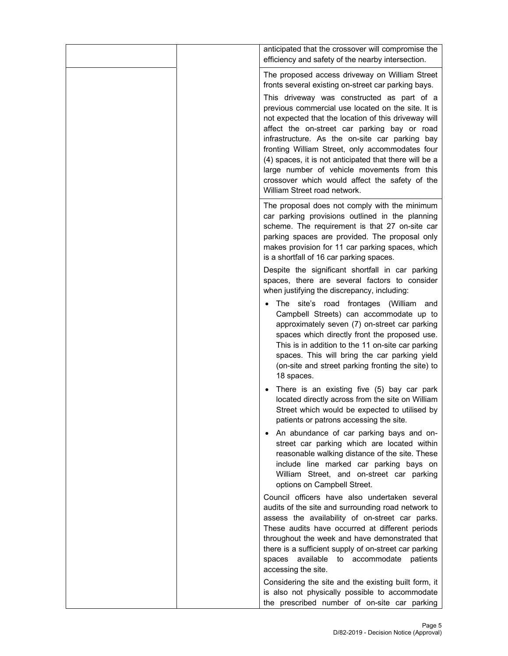| anticipated that the crossover will compromise the<br>efficiency and safety of the nearby intersection.                                                                                                                                                                                                                                                                                                                                                                                                                                                                                                           |
|-------------------------------------------------------------------------------------------------------------------------------------------------------------------------------------------------------------------------------------------------------------------------------------------------------------------------------------------------------------------------------------------------------------------------------------------------------------------------------------------------------------------------------------------------------------------------------------------------------------------|
| The proposed access driveway on William Street<br>fronts several existing on-street car parking bays.<br>This driveway was constructed as part of a<br>previous commercial use located on the site. It is<br>not expected that the location of this driveway will<br>affect the on-street car parking bay or road<br>infrastructure. As the on-site car parking bay<br>fronting William Street, only accommodates four<br>(4) spaces, it is not anticipated that there will be a<br>large number of vehicle movements from this<br>crossover which would affect the safety of the<br>William Street road network. |
| The proposal does not comply with the minimum<br>car parking provisions outlined in the planning<br>scheme. The requirement is that 27 on-site car<br>parking spaces are provided. The proposal only<br>makes provision for 11 car parking spaces, which<br>is a shortfall of 16 car parking spaces.                                                                                                                                                                                                                                                                                                              |
| Despite the significant shortfall in car parking<br>spaces, there are several factors to consider<br>when justifying the discrepancy, including:                                                                                                                                                                                                                                                                                                                                                                                                                                                                  |
| The site's road frontages (William and<br>Campbell Streets) can accommodate up to<br>approximately seven (7) on-street car parking<br>spaces which directly front the proposed use.<br>This is in addition to the 11 on-site car parking<br>spaces. This will bring the car parking yield<br>(on-site and street parking fronting the site) to<br>18 spaces.                                                                                                                                                                                                                                                      |
| There is an existing five (5) bay car park<br>located directly across from the site on William<br>Street which would be expected to utilised by<br>patients or patrons accessing the site.                                                                                                                                                                                                                                                                                                                                                                                                                        |
| An abundance of car parking bays and on-<br>street car parking which are located within<br>reasonable walking distance of the site. These<br>include line marked car parking bays on<br>William Street, and on-street car parking<br>options on Campbell Street.                                                                                                                                                                                                                                                                                                                                                  |
| Council officers have also undertaken several<br>audits of the site and surrounding road network to<br>assess the availability of on-street car parks.<br>These audits have occurred at different periods<br>throughout the week and have demonstrated that<br>there is a sufficient supply of on-street car parking<br>spaces available to accommodate patients<br>accessing the site.                                                                                                                                                                                                                           |
| Considering the site and the existing built form, it<br>is also not physically possible to accommodate<br>the prescribed number of on-site car parking                                                                                                                                                                                                                                                                                                                                                                                                                                                            |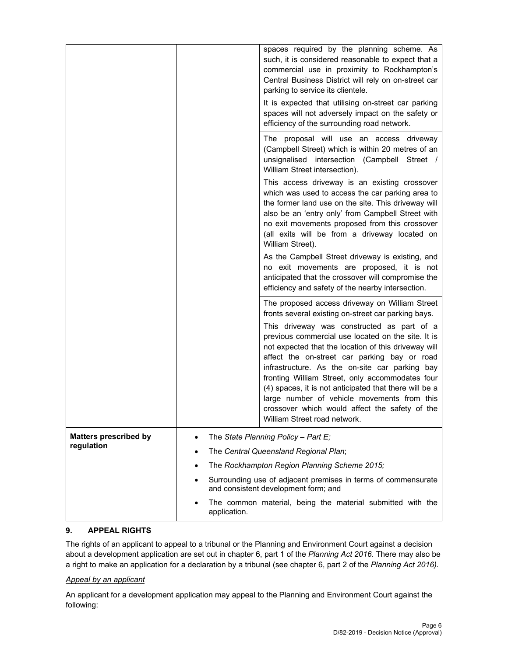|                                            |                                                                                                       | spaces required by the planning scheme. As<br>such, it is considered reasonable to expect that a<br>commercial use in proximity to Rockhampton's<br>Central Business District will rely on on-street car<br>parking to service its clientele.<br>It is expected that utilising on-street car parking<br>spaces will not adversely impact on the safety or<br>efficiency of the surrounding road network.                                                                                                                                                                                                          |
|--------------------------------------------|-------------------------------------------------------------------------------------------------------|-------------------------------------------------------------------------------------------------------------------------------------------------------------------------------------------------------------------------------------------------------------------------------------------------------------------------------------------------------------------------------------------------------------------------------------------------------------------------------------------------------------------------------------------------------------------------------------------------------------------|
|                                            |                                                                                                       | The proposal will use an access driveway<br>(Campbell Street) which is within 20 metres of an<br>unsignalised intersection (Campbell Street /<br>William Street intersection).                                                                                                                                                                                                                                                                                                                                                                                                                                    |
|                                            |                                                                                                       | This access driveway is an existing crossover<br>which was used to access the car parking area to<br>the former land use on the site. This driveway will<br>also be an 'entry only' from Campbell Street with<br>no exit movements proposed from this crossover<br>(all exits will be from a driveway located on<br>William Street).                                                                                                                                                                                                                                                                              |
|                                            |                                                                                                       | As the Campbell Street driveway is existing, and<br>no exit movements are proposed, it is not<br>anticipated that the crossover will compromise the<br>efficiency and safety of the nearby intersection.                                                                                                                                                                                                                                                                                                                                                                                                          |
|                                            |                                                                                                       | The proposed access driveway on William Street<br>fronts several existing on-street car parking bays.<br>This driveway was constructed as part of a<br>previous commercial use located on the site. It is<br>not expected that the location of this driveway will<br>affect the on-street car parking bay or road<br>infrastructure. As the on-site car parking bay<br>fronting William Street, only accommodates four<br>(4) spaces, it is not anticipated that there will be a<br>large number of vehicle movements from this<br>crossover which would affect the safety of the<br>William Street road network. |
| <b>Matters prescribed by</b><br>regulation | ٠                                                                                                     | The State Planning Policy - Part E;<br>The Central Queensland Regional Plan;                                                                                                                                                                                                                                                                                                                                                                                                                                                                                                                                      |
|                                            |                                                                                                       | The Rockhampton Region Planning Scheme 2015;                                                                                                                                                                                                                                                                                                                                                                                                                                                                                                                                                                      |
|                                            | Surrounding use of adjacent premises in terms of commensurate<br>and consistent development form; and |                                                                                                                                                                                                                                                                                                                                                                                                                                                                                                                                                                                                                   |
|                                            | application.                                                                                          | The common material, being the material submitted with the                                                                                                                                                                                                                                                                                                                                                                                                                                                                                                                                                        |

# **9. APPEAL RIGHTS**

The rights of an applicant to appeal to a tribunal or the Planning and Environment Court against a decision about a development application are set out in chapter 6, part 1 of the *Planning Act 2016*. There may also be a right to make an application for a declaration by a tribunal (see chapter 6, part 2 of the *Planning Act 2016).*

### *Appeal by an applicant*

An applicant for a development application may appeal to the Planning and Environment Court against the following: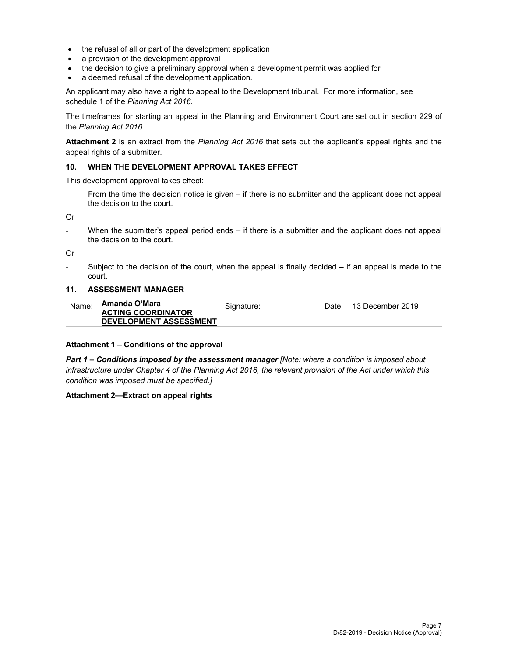- the refusal of all or part of the development application
- a provision of the development approval
- the decision to give a preliminary approval when a development permit was applied for
- a deemed refusal of the development application.

An applicant may also have a right to appeal to the Development tribunal. For more information, see schedule 1 of the *Planning Act 2016*.

The timeframes for starting an appeal in the Planning and Environment Court are set out in section 229 of the *Planning Act 2016*.

**Attachment 2** is an extract from the *Planning Act 2016* that sets out the applicant's appeal rights and the appeal rights of a submitter.

#### **10. WHEN THE DEVELOPMENT APPROVAL TAKES EFFECT**

This development approval takes effect:

From the time the decision notice is given – if there is no submitter and the applicant does not appeal the decision to the court.

Or

- When the submitter's appeal period ends – if there is a submitter and the applicant does not appeal the decision to the court.

Or

Subject to the decision of the court, when the appeal is finally decided  $-$  if an appeal is made to the court.

#### **11. ASSESSMENT MANAGER**

| Name: | Amanda O'Mara                 | Signature: | Date: | 13 December 2019 |
|-------|-------------------------------|------------|-------|------------------|
|       | <b>ACTING COORDINATOR</b>     |            |       |                  |
|       | <b>DEVELOPMENT ASSESSMENT</b> |            |       |                  |

#### **Attachment 1 – Conditions of the approval**

*Part 1* **–** *Conditions imposed by the assessment manager [Note: where a condition is imposed about infrastructure under Chapter 4 of the Planning Act 2016, the relevant provision of the Act under which this condition was imposed must be specified.]*

#### **Attachment 2—Extract on appeal rights**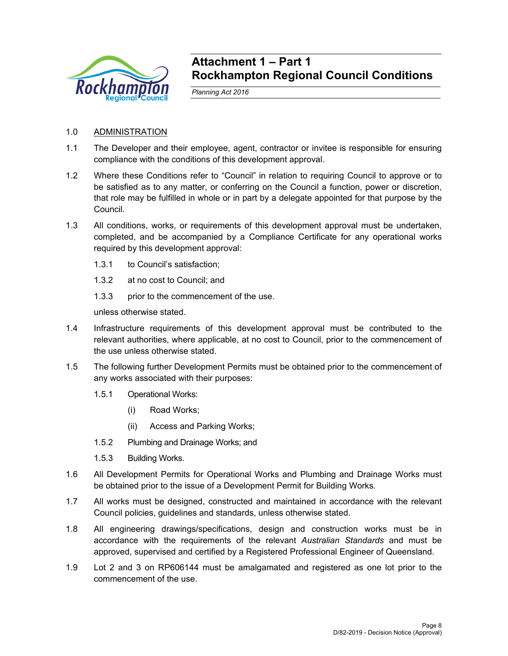

# **Attachment 1 – Part 1 Rockhampton Regional Council Conditions**

*Planning Act 2016* 

# 1.0 ADMINISTRATION

- 1.1 The Developer and their employee, agent, contractor or invitee is responsible for ensuring compliance with the conditions of this development approval.
- 1.2 Where these Conditions refer to "Council" in relation to requiring Council to approve or to be satisfied as to any matter, or conferring on the Council a function, power or discretion, that role may be fulfilled in whole or in part by a delegate appointed for that purpose by the Council.
- 1.3 All conditions, works, or requirements of this development approval must be undertaken, completed, and be accompanied by a Compliance Certificate for any operational works required by this development approval:
	- 1.3.1 to Council's satisfaction;
	- 1.3.2 at no cost to Council; and
	- 1.3.3 prior to the commencement of the use.

unless otherwise stated.

- 1.4 Infrastructure requirements of this development approval must be contributed to the relevant authorities, where applicable, at no cost to Council, prior to the commencement of the use unless otherwise stated.
- 1.5 The following further Development Permits must be obtained prior to the commencement of any works associated with their purposes:
	- 1.5.1 Operational Works:
		- (i) Road Works;
		- (ii) Access and Parking Works;
	- 1.5.2 Plumbing and Drainage Works; and
	- 1.5.3 Building Works.
- 1.6 All Development Permits for Operational Works and Plumbing and Drainage Works must be obtained prior to the issue of a Development Permit for Building Works.
- 1.7 All works must be designed, constructed and maintained in accordance with the relevant Council policies, guidelines and standards, unless otherwise stated.
- 1.8 All engineering drawings/specifications, design and construction works must be in accordance with the requirements of the relevant *Australian Standards* and must be approved, supervised and certified by a Registered Professional Engineer of Queensland.
- 1.9 Lot 2 and 3 on RP606144 must be amalgamated and registered as one lot prior to the commencement of the use.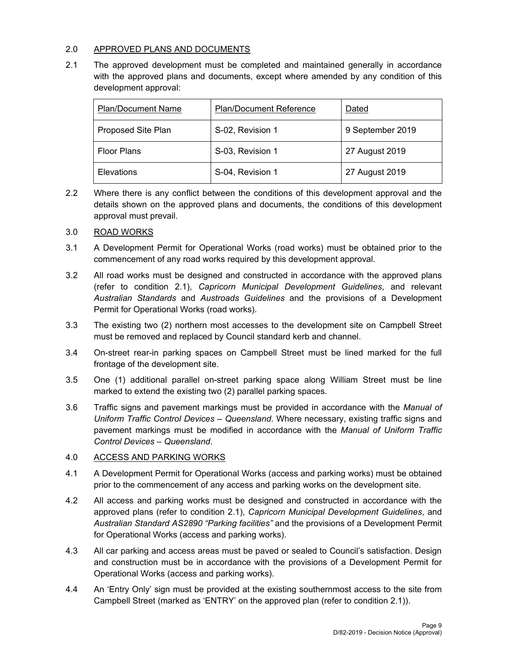# 2.0 APPROVED PLANS AND DOCUMENTS

2.1 The approved development must be completed and maintained generally in accordance with the approved plans and documents, except where amended by any condition of this development approval:

| <b>Plan/Document Name</b> | <b>Plan/Document Reference</b> | Dated            |
|---------------------------|--------------------------------|------------------|
| Proposed Site Plan        | S-02, Revision 1               | 9 September 2019 |
| <b>Floor Plans</b>        | S-03, Revision 1               | 27 August 2019   |
| Elevations                | S-04, Revision 1               | 27 August 2019   |

2.2 Where there is any conflict between the conditions of this development approval and the details shown on the approved plans and documents, the conditions of this development approval must prevail.

# 3.0 ROAD WORKS

- 3.1 A Development Permit for Operational Works (road works) must be obtained prior to the commencement of any road works required by this development approval.
- 3.2 All road works must be designed and constructed in accordance with the approved plans (refer to condition 2.1), *Capricorn Municipal Development Guidelines*, and relevant *Australian Standards* and *Austroads Guidelines* and the provisions of a Development Permit for Operational Works (road works).
- 3.3 The existing two (2) northern most accesses to the development site on Campbell Street must be removed and replaced by Council standard kerb and channel.
- 3.4 On-street rear-in parking spaces on Campbell Street must be lined marked for the full frontage of the development site.
- 3.5 One (1) additional parallel on-street parking space along William Street must be line marked to extend the existing two (2) parallel parking spaces.
- 3.6 Traffic signs and pavement markings must be provided in accordance with the *Manual of Uniform Traffic Control Devices – Queensland*. Where necessary, existing traffic signs and pavement markings must be modified in accordance with the *Manual of Uniform Traffic Control Devices – Queensland*.

### 4.0 ACCESS AND PARKING WORKS

- 4.1 A Development Permit for Operational Works (access and parking works) must be obtained prior to the commencement of any access and parking works on the development site.
- 4.2 All access and parking works must be designed and constructed in accordance with the approved plans (refer to condition 2.1), *Capricorn Municipal Development Guidelines*, and *Australian Standard AS2890 "Parking facilities"* and the provisions of a Development Permit for Operational Works (access and parking works).
- 4.3 All car parking and access areas must be paved or sealed to Council's satisfaction. Design and construction must be in accordance with the provisions of a Development Permit for Operational Works (access and parking works).
- 4.4 An 'Entry Only' sign must be provided at the existing southernmost access to the site from Campbell Street (marked as 'ENTRY' on the approved plan (refer to condition 2.1)).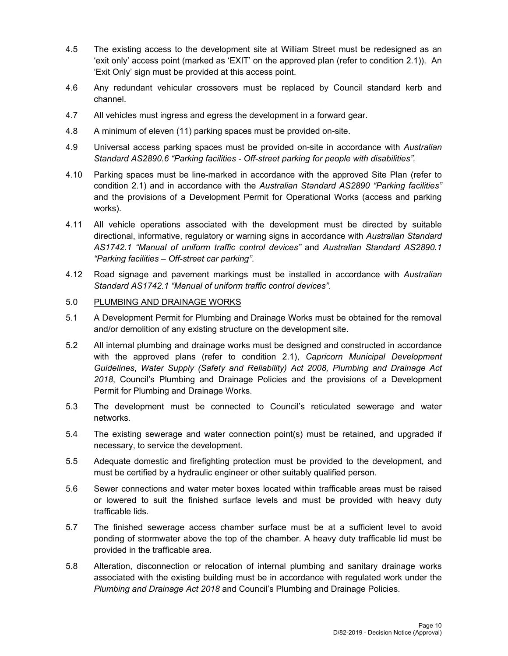- 4.5 The existing access to the development site at William Street must be redesigned as an 'exit only' access point (marked as 'EXIT' on the approved plan (refer to condition 2.1)). An 'Exit Only' sign must be provided at this access point.
- 4.6 Any redundant vehicular crossovers must be replaced by Council standard kerb and channel.
- 4.7 All vehicles must ingress and egress the development in a forward gear.
- 4.8 A minimum of eleven (11) parking spaces must be provided on-site.
- 4.9 Universal access parking spaces must be provided on-site in accordance with *Australian Standard AS2890.6 "Parking facilities - Off-street parking for people with disabilities".*
- 4.10 Parking spaces must be line-marked in accordance with the approved Site Plan (refer to condition 2.1) and in accordance with the *Australian Standard AS2890 "Parking facilities"* and the provisions of a Development Permit for Operational Works (access and parking works).
- 4.11 All vehicle operations associated with the development must be directed by suitable directional, informative, regulatory or warning signs in accordance with *Australian Standard AS1742.1 "Manual of uniform traffic control devices"* and *Australian Standard AS2890.1 "Parking facilities – Off-street car parking"*.
- 4.12 Road signage and pavement markings must be installed in accordance with *Australian Standard AS1742.1 "Manual of uniform traffic control devices".*

# 5.0 PLUMBING AND DRAINAGE WORKS

- 5.1 A Development Permit for Plumbing and Drainage Works must be obtained for the removal and/or demolition of any existing structure on the development site.
- 5.2 All internal plumbing and drainage works must be designed and constructed in accordance with the approved plans (refer to condition 2.1), *Capricorn Municipal Development Guidelines*, *Water Supply (Safety and Reliability) Act 2008, Plumbing and Drainage Act 2018*, Council's Plumbing and Drainage Policies and the provisions of a Development Permit for Plumbing and Drainage Works.
- 5.3 The development must be connected to Council's reticulated sewerage and water networks.
- 5.4 The existing sewerage and water connection point(s) must be retained, and upgraded if necessary, to service the development.
- 5.5 Adequate domestic and firefighting protection must be provided to the development, and must be certified by a hydraulic engineer or other suitably qualified person.
- 5.6 Sewer connections and water meter boxes located within trafficable areas must be raised or lowered to suit the finished surface levels and must be provided with heavy duty trafficable lids.
- 5.7 The finished sewerage access chamber surface must be at a sufficient level to avoid ponding of stormwater above the top of the chamber. A heavy duty trafficable lid must be provided in the trafficable area.
- 5.8 Alteration, disconnection or relocation of internal plumbing and sanitary drainage works associated with the existing building must be in accordance with regulated work under the *Plumbing and Drainage Act 2018* and Council's Plumbing and Drainage Policies.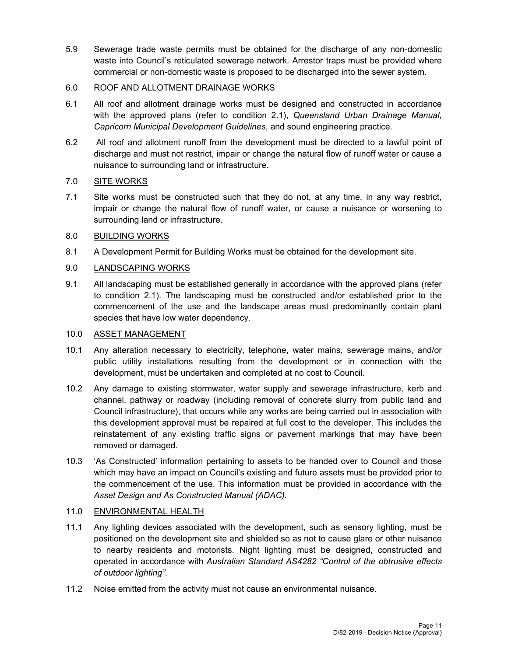5.9 Sewerage trade waste permits must be obtained for the discharge of any non-domestic waste into Council's reticulated sewerage network. Arrestor traps must be provided where commercial or non-domestic waste is proposed to be discharged into the sewer system.

# 6.0 ROOF AND ALLOTMENT DRAINAGE WORKS

- 6.1 All roof and allotment drainage works must be designed and constructed in accordance with the approved plans (refer to condition 2.1), *Queensland Urban Drainage Manual*, *Capricorn Municipal Development Guidelines*, and sound engineering practice.
- 6.2 All roof and allotment runoff from the development must be directed to a lawful point of discharge and must not restrict, impair or change the natural flow of runoff water or cause a nuisance to surrounding land or infrastructure.

# 7.0 SITE WORKS

7.1 Site works must be constructed such that they do not, at any time, in any way restrict, impair or change the natural flow of runoff water, or cause a nuisance or worsening to surrounding land or infrastructure.

# 8.0 BUILDING WORKS

8.1 A Development Permit for Building Works must be obtained for the development site.

# 9.0 LANDSCAPING WORKS

9.1 All landscaping must be established generally in accordance with the approved plans (refer to condition 2.1). The landscaping must be constructed and/or established prior to the commencement of the use and the landscape areas must predominantly contain plant species that have low water dependency.

# 10.0 ASSET MANAGEMENT

- 10.1 Any alteration necessary to electricity, telephone, water mains, sewerage mains, and/or public utility installations resulting from the development or in connection with the development, must be undertaken and completed at no cost to Council.
- 10.2 Any damage to existing stormwater, water supply and sewerage infrastructure, kerb and channel, pathway or roadway (including removal of concrete slurry from public land and Council infrastructure), that occurs while any works are being carried out in association with this development approval must be repaired at full cost to the developer. This includes the reinstatement of any existing traffic signs or pavement markings that may have been removed or damaged.
- 10.3 'As Constructed' information pertaining to assets to be handed over to Council and those which may have an impact on Council's existing and future assets must be provided prior to the commencement of the use. This information must be provided in accordance with the *Asset Design and As Constructed Manual (ADAC).*

# 11.0 ENVIRONMENTAL HEALTH

- 11.1 Any lighting devices associated with the development, such as sensory lighting, must be positioned on the development site and shielded so as not to cause glare or other nuisance to nearby residents and motorists. Night lighting must be designed, constructed and operated in accordance with *Australian Standard AS4282 "Control of the obtrusive effects of outdoor lighting"*.
- 11.2 Noise emitted from the activity must not cause an environmental nuisance.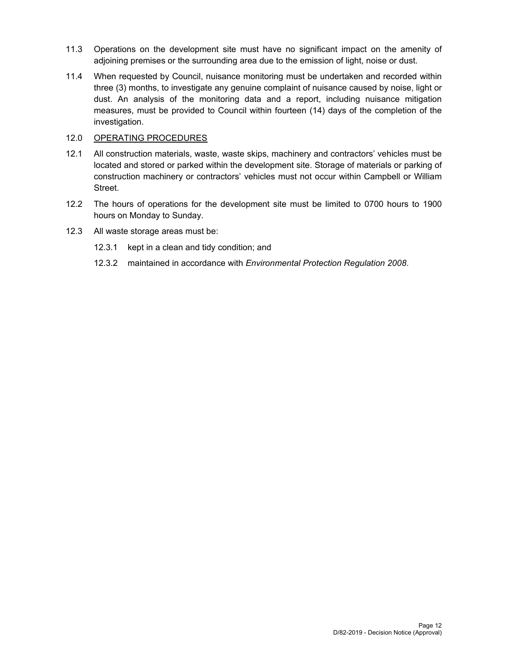- 11.3 Operations on the development site must have no significant impact on the amenity of adjoining premises or the surrounding area due to the emission of light, noise or dust.
- 11.4 When requested by Council, nuisance monitoring must be undertaken and recorded within three (3) months, to investigate any genuine complaint of nuisance caused by noise, light or dust. An analysis of the monitoring data and a report, including nuisance mitigation measures, must be provided to Council within fourteen (14) days of the completion of the investigation.

### 12.0 OPERATING PROCEDURES

- 12.1 All construction materials, waste, waste skips, machinery and contractors' vehicles must be located and stored or parked within the development site. Storage of materials or parking of construction machinery or contractors' vehicles must not occur within Campbell or William Street.
- 12.2 The hours of operations for the development site must be limited to 0700 hours to 1900 hours on Monday to Sunday.
- 12.3 All waste storage areas must be:
	- 12.3.1 kept in a clean and tidy condition; and
	- 12.3.2 maintained in accordance with *Environmental Protection Regulation 2008*.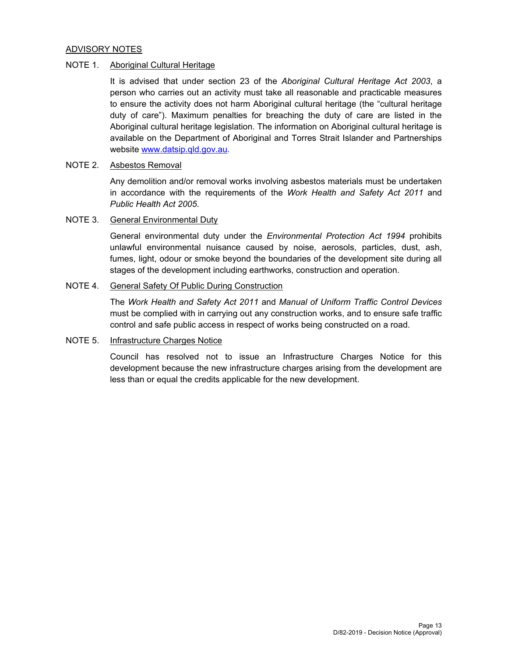### ADVISORY NOTES

### NOTE 1. Aboriginal Cultural Heritage

It is advised that under section 23 of the *Aboriginal Cultural Heritage Act 2003*, a person who carries out an activity must take all reasonable and practicable measures to ensure the activity does not harm Aboriginal cultural heritage (the "cultural heritage duty of care"). Maximum penalties for breaching the duty of care are listed in the Aboriginal cultural heritage legislation. The information on Aboriginal cultural heritage is available on the Department of Aboriginal and Torres Strait Islander and Partnerships website www.datsip.qld.gov.au.

# NOTE 2. Asbestos Removal

Any demolition and/or removal works involving asbestos materials must be undertaken in accordance with the requirements of the *Work Health and Safety Act 2011* and *Public Health Act 2005*.

#### NOTE 3. General Environmental Duty

General environmental duty under the *Environmental Protection Act 1994* prohibits unlawful environmental nuisance caused by noise, aerosols, particles, dust, ash, fumes, light, odour or smoke beyond the boundaries of the development site during all stages of the development including earthworks, construction and operation.

#### NOTE 4. General Safety Of Public During Construction

The *Work Health and Safety Act 2011* and *Manual of Uniform Traffic Control Devices* must be complied with in carrying out any construction works, and to ensure safe traffic control and safe public access in respect of works being constructed on a road.

### NOTE 5. Infrastructure Charges Notice

Council has resolved not to issue an Infrastructure Charges Notice for this development because the new infrastructure charges arising from the development are less than or equal the credits applicable for the new development.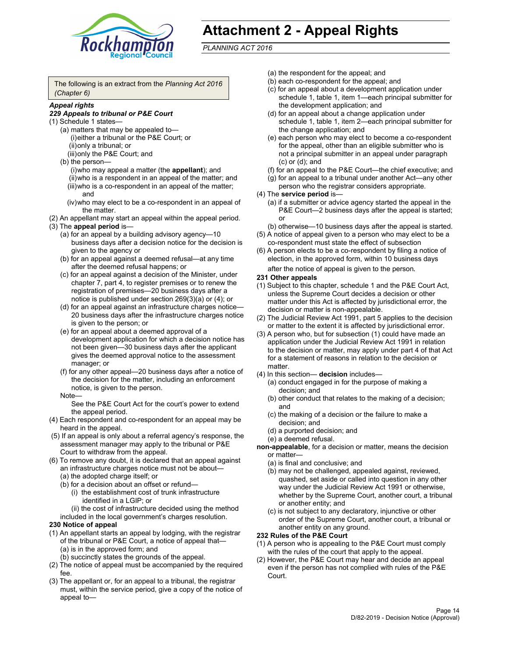

# **Attachment 2 - Appeal Rights**

*PLANNING ACT 2016*

The following is an extract from the *Planning Act 2016 (Chapter 6)*

# *Appeal rights*

#### *229 Appeals to tribunal or P&E Court*

- (1) Schedule 1 states—
	- (a) matters that may be appealed to— (i) either a tribunal or the P&E Court; or (ii) only a tribunal; or (iii) only the P&E Court; and
	- (b) the person—
		- (i) who may appeal a matter (the **appellant**); and
		- (ii) who is a respondent in an appeal of the matter; and (iii) who is a co-respondent in an appeal of the matter; and
		- (iv) who may elect to be a co-respondent in an appeal of the matter.
- (2) An appellant may start an appeal within the appeal period.
- (3) The **appeal period** is—
	- (a) for an appeal by a building advisory agency—10 business days after a decision notice for the decision is given to the agency or
	- (b) for an appeal against a deemed refusal—at any time after the deemed refusal happens; or
	- (c) for an appeal against a decision of the Minister, under chapter 7, part 4, to register premises or to renew the registration of premises—20 business days after a notice is published under section 269(3)(a) or (4); or
	- (d) for an appeal against an infrastructure charges notice— 20 business days after the infrastructure charges notice is given to the person; or
	- (e) for an appeal about a deemed approval of a development application for which a decision notice has not been given—30 business days after the applicant gives the deemed approval notice to the assessment manager; or
	- (f) for any other appeal—20 business days after a notice of the decision for the matter, including an enforcement notice, is given to the person.

#### Note—

See the P&E Court Act for the court's power to extend the appeal period.

- (4) Each respondent and co-respondent for an appeal may be heard in the appeal.
- (5) If an appeal is only about a referral agency's response, the assessment manager may apply to the tribunal or P&E Court to withdraw from the appeal.
- (6) To remove any doubt, it is declared that an appeal against an infrastructure charges notice must not be about— (a) the adopted charge itself; or
	- (b) for a decision about an offset or refund—
		- (i) the establishment cost of trunk infrastructure identified in a LGIP; or
		- (ii) the cost of infrastructure decided using the method
	- included in the local government's charges resolution.

# **230 Notice of appeal**

- (1) An appellant starts an appeal by lodging, with the registrar of the tribunal or P&E Court, a notice of appeal that— (a) is in the approved form; and
	- (b) succinctly states the grounds of the appeal.
- (2) The notice of appeal must be accompanied by the required fee.
- (3) The appellant or, for an appeal to a tribunal, the registrar must, within the service period, give a copy of the notice of appeal to—
- (a) the respondent for the appeal; and
- (b) each co-respondent for the appeal; and
- (c) for an appeal about a development application under schedule 1, table 1, item 1—each principal submitter for the development application; and
- (d) for an appeal about a change application under schedule 1, table 1, item 2—each principal submitter for the change application; and
- (e) each person who may elect to become a co-respondent for the appeal, other than an eligible submitter who is not a principal submitter in an appeal under paragraph (c) or (d); and
- (f) for an appeal to the P&E Court—the chief executive; and
- (g) for an appeal to a tribunal under another Act—any other person who the registrar considers appropriate.
- (4) The **service period** is—
	- (a) if a submitter or advice agency started the appeal in the P&E Court-2 business days after the appeal is started; or
	- (b) otherwise—10 business days after the appeal is started.
- (5) A notice of appeal given to a person who may elect to be a co-respondent must state the effect of subsection
- (6) A person elects to be a co-respondent by filing a notice of election, in the approved form, within 10 business days
	- after the notice of appeal is given to the person*.*
- **231 Other appeals**
- (1) Subject to this chapter, schedule 1 and the P&E Court Act, unless the Supreme Court decides a decision or other matter under this Act is affected by jurisdictional error, the decision or matter is non-appealable.
- (2) The Judicial Review Act 1991, part 5 applies to the decision or matter to the extent it is affected by jurisdictional error.
- (3) A person who, but for subsection (1) could have made an application under the Judicial Review Act 1991 in relation to the decision or matter, may apply under part 4 of that Act for a statement of reasons in relation to the decision or matter.
- (4) In this section— **decision** includes—
	- (a) conduct engaged in for the purpose of making a decision; and
	- (b) other conduct that relates to the making of a decision; and
	- (c) the making of a decision or the failure to make a decision; and
	- (d) a purported decision; and
	- (e) a deemed refusal.

**non-appealable**, for a decision or matter, means the decision or matter—

- (a) is final and conclusive; and
- (b) may not be challenged, appealed against, reviewed, quashed, set aside or called into question in any other way under the Judicial Review Act 1991 or otherwise, whether by the Supreme Court, another court, a tribunal or another entity; and
- (c) is not subject to any declaratory, injunctive or other order of the Supreme Court, another court, a tribunal or another entity on any ground.

#### **232 Rules of the P&E Court**

- (1) A person who is appealing to the P&E Court must comply with the rules of the court that apply to the appeal.
- (2) However, the P&E Court may hear and decide an appeal even if the person has not complied with rules of the P&E Court.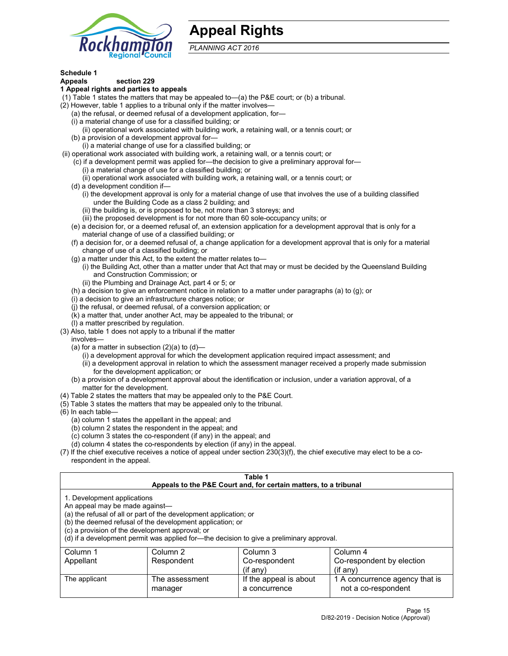

# **Appeal Rights**

*PLANNING ACT 2016*

# **Schedule 1**

# **Appeals section 229**

- **1 Appeal rights and parties to appeals**
- (1) Table 1 states the matters that may be appealed to—(a) the P&E court; or (b) a tribunal.
- (2) However, table 1 applies to a tribunal only if the matter involves—
	- (a) the refusal, or deemed refusal of a development application, for—
	- (i) a material change of use for a classified building; or
	- (ii) operational work associated with building work, a retaining wall, or a tennis court; or
	- (b) a provision of a development approval for—
	- (i) a material change of use for a classified building; or
- (ii) operational work associated with building work, a retaining wall, or a tennis court; or
	- (c) if a development permit was applied for—the decision to give a preliminary approval for—
		- (i) a material change of use for a classified building; or
	- (ii) operational work associated with building work, a retaining wall, or a tennis court; or
	- (d) a development condition if—
		- (i) the development approval is only for a material change of use that involves the use of a building classified under the Building Code as a class 2 building; and
		- (ii) the building is, or is proposed to be, not more than 3 storeys; and
		- (iii) the proposed development is for not more than 60 sole-occupancy units; or
	- (e) a decision for, or a deemed refusal of, an extension application for a development approval that is only for a material change of use of a classified building; or
	- (f) a decision for, or a deemed refusal of, a change application for a development approval that is only for a material change of use of a classified building; or
	- (g) a matter under this Act, to the extent the matter relates to—
		- (i) the Building Act, other than a matter under that Act that may or must be decided by the Queensland Building and Construction Commission; or
		- (ii) the Plumbing and Drainage Act, part 4 or 5; or
	- (h) a decision to give an enforcement notice in relation to a matter under paragraphs (a) to (g); or
	- (i) a decision to give an infrastructure charges notice; or
	- (j) the refusal, or deemed refusal, of a conversion application; or
	- (k) a matter that, under another Act, may be appealed to the tribunal; or
	- (l) a matter prescribed by regulation.
- (3) Also, table 1 does not apply to a tribunal if the matter
	- involves—
		- (a) for a matter in subsection  $(2)(a)$  to  $(d)$ 
			- (i) a development approval for which the development application required impact assessment; and
			- (ii) a development approval in relation to which the assessment manager received a properly made submission for the development application; or
	- (b) a provision of a development approval about the identification or inclusion, under a variation approval, of a matter for the development.
- (4) Table 2 states the matters that may be appealed only to the P&E Court.
- (5) Table 3 states the matters that may be appealed only to the tribunal.
- (6) In each table—
	- (a) column 1 states the appellant in the appeal; and
	- (b) column 2 states the respondent in the appeal; and
	- (c) column 3 states the co-respondent (if any) in the appeal; and
	- (d) column 4 states the co-respondents by election (if any) in the appeal.
- (7) If the chief executive receives a notice of appeal under section 230(3)(f), the chief executive may elect to be a corespondent in the appeal.

| Table 1<br>Appeals to the P&E Court and, for certain matters, to a tribunal                                      |                                                                                                                                |                                                                                          |                                                       |  |  |
|------------------------------------------------------------------------------------------------------------------|--------------------------------------------------------------------------------------------------------------------------------|------------------------------------------------------------------------------------------|-------------------------------------------------------|--|--|
| 1. Development applications<br>An appeal may be made against-<br>(c) a provision of the development approval; or | (a) the refusal of all or part of the development application; or<br>(b) the deemed refusal of the development application; or | (d) if a development permit was applied for—the decision to give a preliminary approval. |                                                       |  |  |
| Column 1                                                                                                         | Column 2                                                                                                                       | Column 3                                                                                 | Column 4                                              |  |  |
| Appellant                                                                                                        | Respondent                                                                                                                     | Co-respondent                                                                            | Co-respondent by election                             |  |  |
| $(if$ any)<br>$($ if any $)$                                                                                     |                                                                                                                                |                                                                                          |                                                       |  |  |
| The applicant                                                                                                    | The assessment<br>manager                                                                                                      | If the appeal is about<br>a concurrence                                                  | 1 A concurrence agency that is<br>not a co-respondent |  |  |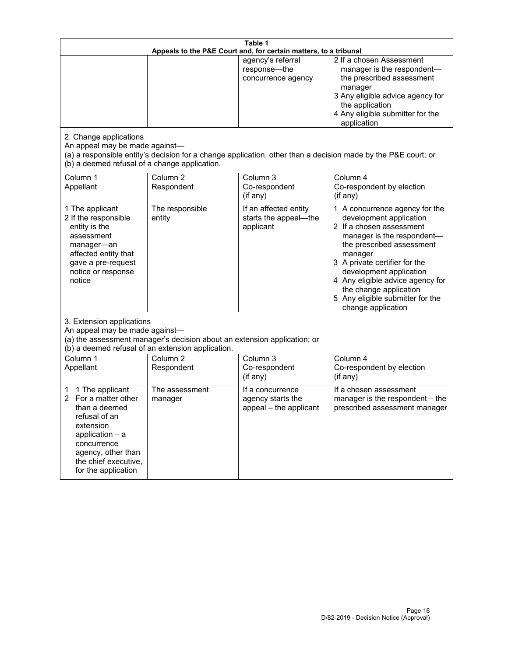| Table 1<br>Appeals to the P&E Court and, for certain matters, to a tribunal                                                                                                                             |                                                                                                                               |                                                                 |                                                                                                                                                                                                                                                                                                                                                 |  |
|---------------------------------------------------------------------------------------------------------------------------------------------------------------------------------------------------------|-------------------------------------------------------------------------------------------------------------------------------|-----------------------------------------------------------------|-------------------------------------------------------------------------------------------------------------------------------------------------------------------------------------------------------------------------------------------------------------------------------------------------------------------------------------------------|--|
| 2. Change applications<br>An appeal may be made against-<br>(b) a deemed refusal of a change application.                                                                                               |                                                                                                                               | agency's referral<br>response-the<br>concurrence agency         | 2 If a chosen Assessment<br>manager is the respondent-<br>the prescribed assessment<br>manager<br>3 Any eligible advice agency for<br>the application<br>4 Any eligible submitter for the<br>application<br>(a) a responsible entity's decision for a change application, other than a decision made by the P&E court; or                       |  |
| Column 1<br>Appellant                                                                                                                                                                                   | Column <sub>2</sub><br>Respondent                                                                                             | Column 3<br>Co-respondent<br>(if any)                           | Column 4<br>Co-respondent by election<br>$($ if any $)$                                                                                                                                                                                                                                                                                         |  |
| 1 The applicant<br>2 If the responsible<br>entity is the<br>assessment<br>manager-an<br>affected entity that<br>gave a pre-request<br>notice or response<br>notice                                      | The responsible<br>entity                                                                                                     | If an affected entity<br>starts the appeal-the<br>applicant     | 1 A concurrence agency for the<br>development application<br>2 If a chosen assessment<br>manager is the respondent-<br>the prescribed assessment<br>manager<br>3 A private certifier for the<br>development application<br>4 Any eligible advice agency for<br>the change application<br>5 Any eligible submitter for the<br>change application |  |
| 3. Extension applications<br>An appeal may be made against-                                                                                                                                             | (a) the assessment manager's decision about an extension application; or<br>(b) a deemed refusal of an extension application. |                                                                 |                                                                                                                                                                                                                                                                                                                                                 |  |
| Column 1<br>Appellant                                                                                                                                                                                   | Column <sub>2</sub><br>Respondent                                                                                             | Column 3<br>Co-respondent<br>(if any)                           | Column 4<br>Co-respondent by election<br>(if any)                                                                                                                                                                                                                                                                                               |  |
| 1 The applicant<br>1<br>For a matter other<br>2<br>than a deemed<br>refusal of an<br>extension<br>application $-$ a<br>concurrence<br>agency, other than<br>the chief executive,<br>for the application | The assessment<br>manager                                                                                                     | If a concurrence<br>agency starts the<br>appeal - the applicant | If a chosen assessment<br>manager is the respondent - the<br>prescribed assessment manager                                                                                                                                                                                                                                                      |  |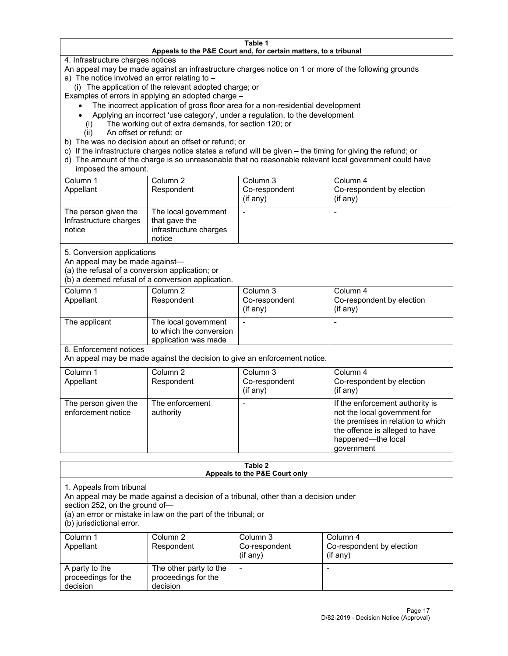#### **Table 1 Appeals to the P&E Court and, for certain matters, to a tribunal**

4. Infrastructure charges notices

An appeal may be made against an infrastructure charges notice on 1 or more of the following grounds

- a) The notice involved an error relating to
	- (i) The application of the relevant adopted charge; or

Examples of errors in applying an adopted charge –

- The incorrect application of gross floor area for a non-residential development
- Applying an incorrect 'use category', under a regulation, to the development
- (i) The working out of extra demands, for section 120; or
- (ii) An offset or refund; or
- b) The was no decision about an offset or refund; or
- c) If the infrastructure charges notice states a refund will be given the timing for giving the refund; or
- d) The amount of the charge is so unreasonable that no reasonable relevant local government could have imposed the amount.

| Column 1<br>Appellant                                    | Column 2<br>Respondent                                                    | Column 3<br>Co-respondent<br>(i f any) | Column 4<br>Co-respondent by election<br>(i f any) |
|----------------------------------------------------------|---------------------------------------------------------------------------|----------------------------------------|----------------------------------------------------|
| The person given the<br>Infrastructure charges<br>notice | The local government<br>that gave the<br>infrastructure charges<br>notice |                                        |                                                    |

5. Conversion applications

An appeal may be made against—

(a) the refusal of a conversion application; or

(b) a deemed refusal of a conversion application.

| Column 1      | Column 2                | Column 3       | Column 4                  |
|---------------|-------------------------|----------------|---------------------------|
| Appellant     | Respondent              | Co-respondent  | Co-respondent by election |
|               |                         | $($ if any $)$ | $($ if any $)$            |
|               |                         |                |                           |
| The applicant | The local government    |                |                           |
|               | to which the conversion |                |                           |
|               | application was made    |                |                           |

6. Enforcement notices

An appeal may be made against the decision to give an enforcement notice.

| Column 1<br>Appellant                      | Column 2<br>Respondent       | Column 3<br>Co-respondent<br>$($ if any $)$ | Column 4<br>Co-respondent by election<br>$($ if any $)$                                                                                                                    |
|--------------------------------------------|------------------------------|---------------------------------------------|----------------------------------------------------------------------------------------------------------------------------------------------------------------------------|
| The person given the<br>enforcement notice | The enforcement<br>authority |                                             | If the enforcement authority is<br>not the local government for<br>the premises in relation to which<br>the offence is alleged to have<br>happened-the local<br>government |

#### **Table 2 Appeals to the P&E Court only**

1. Appeals from tribunal

An appeal may be made against a decision of a tribunal, other than a decision under

section 252, on the ground of—

(a) an error or mistake in law on the part of the tribunal; or

(b) jurisdictional error.

| Column 1<br>Appellant                             | Column 2<br>Respondent                                    | Column 3<br>Co-respondent<br>$(if$ any) | Column 4<br>Co-respondent by election<br>$(if$ any) |
|---------------------------------------------------|-----------------------------------------------------------|-----------------------------------------|-----------------------------------------------------|
| A party to the<br>proceedings for the<br>decision | The other party to the<br>proceedings for the<br>decision | $\overline{\phantom{a}}$                |                                                     |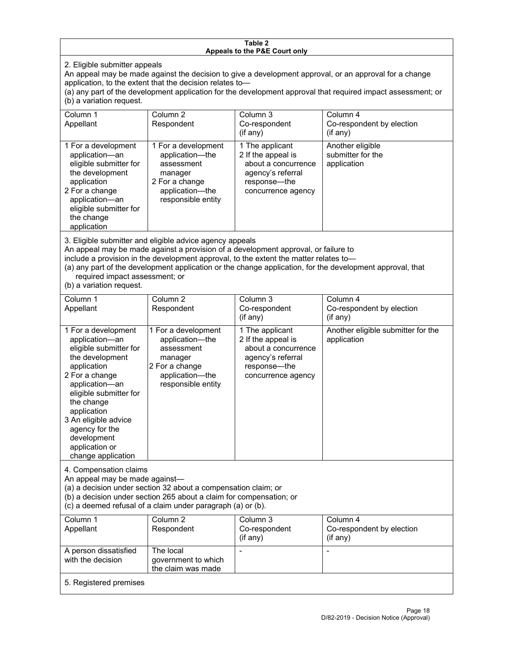#### **Table 2 Appeals to the P&E Court only**

2. Eligible submitter appeals

An appeal may be made against the decision to give a development approval, or an approval for a change application, to the extent that the decision relates to—

(a) any part of the development application for the development approval that required impact assessment; or (b) a variation request.

| Column 1<br>Appellant                                                                                                                                                                        | Column 2<br>Respondent                                                                                                     | Column 3<br>Co-respondent<br>$(i$ f any $)$                                                                             | Column 4<br>Co-respondent by election<br>$($ if any $)$ |
|----------------------------------------------------------------------------------------------------------------------------------------------------------------------------------------------|----------------------------------------------------------------------------------------------------------------------------|-------------------------------------------------------------------------------------------------------------------------|---------------------------------------------------------|
| 1 For a development<br>application-an<br>eligible submitter for<br>the development<br>application<br>2 For a change<br>application-an<br>eligible submitter for<br>the change<br>application | 1 For a development<br>application-the<br>assessment<br>manager<br>2 For a change<br>application-the<br>responsible entity | 1 The applicant<br>2 If the appeal is<br>about a concurrence<br>agency's referral<br>response—the<br>concurrence agency | Another eligible<br>submitter for the<br>application    |

3. Eligible submitter and eligible advice agency appeals

An appeal may be made against a provision of a development approval, or failure to

include a provision in the development approval, to the extent the matter relates to—

(a) any part of the development application or the change application, for the development approval, that required impact assessment; or

(b) a variation request.

| Column <sub>1</sub><br>Appellant                                                                                                                                                                                                                                                              | Column <sub>2</sub><br>Respondent                                                                                          | Column <sub>3</sub><br>Co-respondent<br>(if any)                                                                        | Column 4<br>Co-respondent by election<br>(if any) |  |  |
|-----------------------------------------------------------------------------------------------------------------------------------------------------------------------------------------------------------------------------------------------------------------------------------------------|----------------------------------------------------------------------------------------------------------------------------|-------------------------------------------------------------------------------------------------------------------------|---------------------------------------------------|--|--|
| 1 For a development<br>application-an<br>eligible submitter for<br>the development<br>application<br>2 For a change<br>application-an<br>eligible submitter for<br>the change<br>application<br>3 An eligible advice<br>agency for the<br>development<br>application or<br>change application | 1 For a development<br>application-the<br>assessment<br>manager<br>2 For a change<br>application-the<br>responsible entity | 1 The applicant<br>2 If the appeal is<br>about a concurrence<br>agency's referral<br>response-the<br>concurrence agency | Another eligible submitter for the<br>application |  |  |
| 4. Compensation claims<br>An appeal may be made against-<br>(a) a decision under section 32 about a compensation claim; or<br>(b) a decision under section 265 about a claim for compensation; or<br>(c) a deemed refusal of a claim under paragraph (a) or (b).                              |                                                                                                                            |                                                                                                                         |                                                   |  |  |
| Column <sub>1</sub><br>Appellant                                                                                                                                                                                                                                                              | Column <sub>2</sub><br>Respondent                                                                                          | Column <sub>3</sub><br>Co-respondent<br>(if any)                                                                        | Column 4<br>Co-respondent by election<br>(if any) |  |  |
| A person dissatisfied<br>with the decision                                                                                                                                                                                                                                                    | The local<br>government to which<br>the claim was made                                                                     |                                                                                                                         |                                                   |  |  |
| 5. Registered premises                                                                                                                                                                                                                                                                        |                                                                                                                            |                                                                                                                         |                                                   |  |  |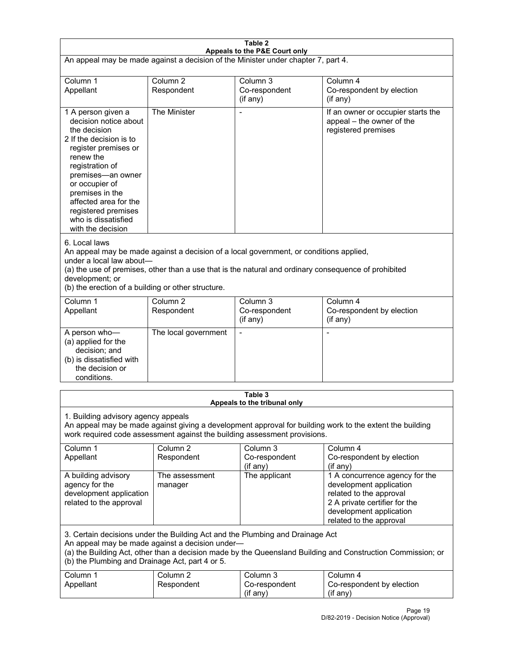| Table 2<br>Appeals to the P&E Court only                                                                                                                                                                                                                                                             |                                                                                                                                                                                                                                                                                  |                                                                               |                                                                                                                                                                             |  |  |
|------------------------------------------------------------------------------------------------------------------------------------------------------------------------------------------------------------------------------------------------------------------------------------------------------|----------------------------------------------------------------------------------------------------------------------------------------------------------------------------------------------------------------------------------------------------------------------------------|-------------------------------------------------------------------------------|-----------------------------------------------------------------------------------------------------------------------------------------------------------------------------|--|--|
| An appeal may be made against a decision of the Minister under chapter 7, part 4.                                                                                                                                                                                                                    |                                                                                                                                                                                                                                                                                  |                                                                               |                                                                                                                                                                             |  |  |
| Column 1<br>Appellant                                                                                                                                                                                                                                                                                | Column <sub>2</sub><br>Respondent                                                                                                                                                                                                                                                | Column <sub>3</sub><br>Co-respondent<br>(if any)                              | Column 4<br>Co-respondent by election<br>(if any)                                                                                                                           |  |  |
| 1 A person given a<br>decision notice about<br>the decision<br>2 If the decision is to<br>register premises or<br>renew the<br>registration of<br>premises-an owner<br>or occupier of<br>premises in the<br>affected area for the<br>registered premises<br>who is dissatisfied<br>with the decision | The Minister                                                                                                                                                                                                                                                                     | Ĭ.                                                                            | If an owner or occupier starts the<br>appeal - the owner of the<br>registered premises                                                                                      |  |  |
| 6. Local laws<br>development; or                                                                                                                                                                                                                                                                     | An appeal may be made against a decision of a local government, or conditions applied,<br>under a local law about-<br>(a) the use of premises, other than a use that is the natural and ordinary consequence of prohibited<br>(b) the erection of a building or other structure. |                                                                               |                                                                                                                                                                             |  |  |
| Column 1<br>Appellant                                                                                                                                                                                                                                                                                | Column <sub>2</sub><br>Respondent                                                                                                                                                                                                                                                | Column 3<br>Co-respondent<br>(if any)                                         | Column 4<br>Co-respondent by election<br>(if any)                                                                                                                           |  |  |
| A person who-<br>(a) applied for the<br>decision; and<br>(b) is dissatisfied with<br>the decision or<br>conditions.                                                                                                                                                                                  | The local government                                                                                                                                                                                                                                                             | L,                                                                            | $\overline{a}$                                                                                                                                                              |  |  |
|                                                                                                                                                                                                                                                                                                      |                                                                                                                                                                                                                                                                                  | Table 3<br>Appeals to the tribunal only                                       |                                                                                                                                                                             |  |  |
| 1. Building advisory agency appeals                                                                                                                                                                                                                                                                  |                                                                                                                                                                                                                                                                                  | work required code assessment against the building assessment provisions.     | An appeal may be made against giving a development approval for building work to the extent the building                                                                    |  |  |
| Column 1<br>Appellant                                                                                                                                                                                                                                                                                | Column <sub>2</sub><br>Respondent                                                                                                                                                                                                                                                | Column 3<br>Co-respondent<br>(if any)                                         | Column 4<br>Co-respondent by election<br>(if any)                                                                                                                           |  |  |
| A building advisory<br>agency for the<br>development application<br>related to the approval                                                                                                                                                                                                          | The assessment<br>manager                                                                                                                                                                                                                                                        | The applicant                                                                 | 1 A concurrence agency for the<br>development application<br>related to the approval<br>2 A private certifier for the<br>development application<br>related to the approval |  |  |
| (b) the Plumbing and Drainage Act, part 4 or 5.                                                                                                                                                                                                                                                      | An appeal may be made against a decision under-                                                                                                                                                                                                                                  | 3. Certain decisions under the Building Act and the Plumbing and Drainage Act | (a) the Building Act, other than a decision made by the Queensland Building and Construction Commission; or                                                                 |  |  |
| Column 1<br>Appellant                                                                                                                                                                                                                                                                                | Column <sub>2</sub><br>Respondent                                                                                                                                                                                                                                                | Column 3<br>Co-respondent<br>(if any)                                         | Column 4<br>Co-respondent by election<br>(if any)                                                                                                                           |  |  |